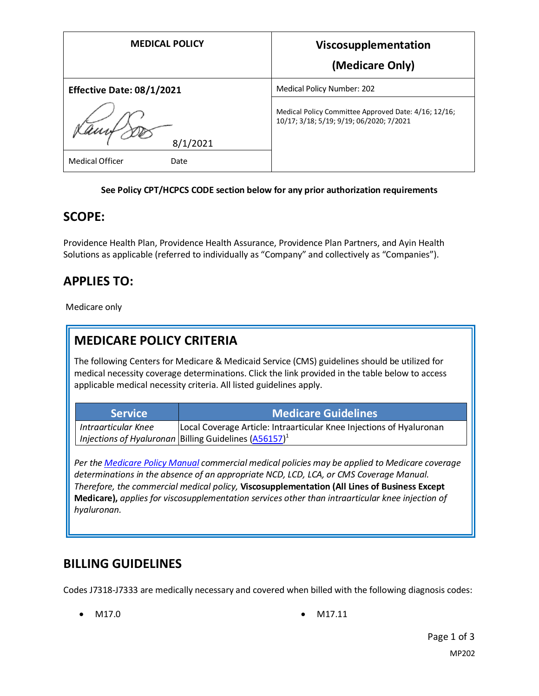| <b>MEDICAL POLICY</b>            | Viscosupplementation<br>(Medicare Only)                                                          |
|----------------------------------|--------------------------------------------------------------------------------------------------|
| <b>Effective Date: 08/1/2021</b> | Medical Policy Number: 202                                                                       |
| 8/1/2021                         | Medical Policy Committee Approved Date: 4/16; 12/16;<br>10/17; 3/18; 5/19; 9/19; 06/2020; 7/2021 |
| <b>Medical Officer</b><br>Date   |                                                                                                  |

#### **See Policy CPT/HCPCS CODE section below for any prior authorization requirements**

### **SCOPE:**

Providence Health Plan, Providence Health Assurance, Providence Plan Partners, and Ayin Health Solutions as applicable (referred to individually as "Company" and collectively as "Companies").

## **APPLIES TO:**

Medicare only

## **MEDICARE POLICY CRITERIA**

The following Centers for Medicare & Medicaid Service (CMS) guidelines should be utilized for medical necessity coverage determinations. Click the link provided in the table below to access applicable medical necessity criteria. All listed guidelines apply.

| <b>Service</b>      | <b>Medicare Guidelines</b>                                                 |
|---------------------|----------------------------------------------------------------------------|
| Intraarticular Knee | Local Coverage Article: Intraarticular Knee Injections of Hyaluronan       |
|                     | $^\perp$ Injections of Hyaluronan Billing Guidelines (A56157) <sup>1</sup> |

*Per th[e Medicare Policy Manual](https://s3-us-west-2.amazonaws.com/images.provhealth.org/Providence-Images/PHP_PHA_Medical_Policy_CMS_Manual.pdf) commercial medical policies may be applied to Medicare coverage determinations in the absence of an appropriate NCD, LCD, LCA, or CMS Coverage Manual. Therefore, the commercial medical policy,* **Viscosupplementation (All Lines of Business Except Medicare),** *applies for viscosupplementation services other than intraarticular knee injection of hyaluronan.* 

## **BILLING GUIDELINES**

Codes J7318-J7333 are medically necessary and covered when billed with the following diagnosis codes:

- 
- M17.0 M17.11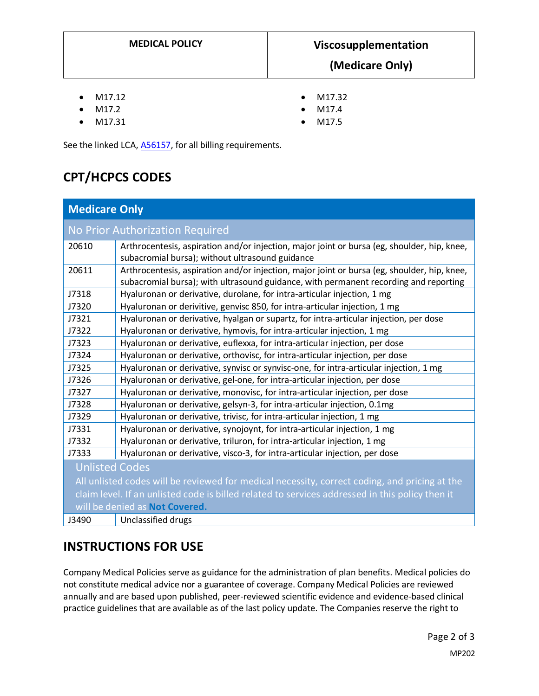- M17.12
- M17.2
- M17.31
- M17.32 • M17.4
- M17.5

See the linked LCA[, A56157,](https://www.cms.gov/medicare-coverage-database/details/article-details.aspx?articleId=56157) for all billing requirements.

# **CPT/HCPCS CODES**

| <b>Medicare Only</b>                                                                            |                                                                                                                                                                                     |
|-------------------------------------------------------------------------------------------------|-------------------------------------------------------------------------------------------------------------------------------------------------------------------------------------|
| No Prior Authorization Required                                                                 |                                                                                                                                                                                     |
| 20610                                                                                           | Arthrocentesis, aspiration and/or injection, major joint or bursa (eg, shoulder, hip, knee,<br>subacromial bursa); without ultrasound guidance                                      |
| 20611                                                                                           | Arthrocentesis, aspiration and/or injection, major joint or bursa (eg, shoulder, hip, knee,<br>subacromial bursa); with ultrasound guidance, with permanent recording and reporting |
| J7318                                                                                           | Hyaluronan or derivative, durolane, for intra-articular injection, 1 mg                                                                                                             |
| J7320                                                                                           | Hyaluronan or derivitive, genvisc 850, for intra-articular injection, 1 mg                                                                                                          |
| J7321                                                                                           | Hyaluronan or derivative, hyalgan or supartz, for intra-articular injection, per dose                                                                                               |
| J7322                                                                                           | Hyaluronan or derivative, hymovis, for intra-articular injection, 1 mg                                                                                                              |
| J7323                                                                                           | Hyaluronan or derivative, euflexxa, for intra-articular injection, per dose                                                                                                         |
| J7324                                                                                           | Hyaluronan or derivative, orthovisc, for intra-articular injection, per dose                                                                                                        |
| J7325                                                                                           | Hyaluronan or derivative, synvisc or synvisc-one, for intra-articular injection, 1 mg                                                                                               |
| J7326                                                                                           | Hyaluronan or derivative, gel-one, for intra-articular injection, per dose                                                                                                          |
| J7327                                                                                           | Hyaluronan or derivative, monovisc, for intra-articular injection, per dose                                                                                                         |
| J7328                                                                                           | Hyaluronan or derivative, gelsyn-3, for intra-articular injection, 0.1mg                                                                                                            |
| J7329                                                                                           | Hyaluronan or derivative, trivisc, for intra-articular injection, 1 mg                                                                                                              |
| J7331                                                                                           | Hyaluronan or derivative, synojoynt, for intra-articular injection, 1 mg                                                                                                            |
| J7332                                                                                           | Hyaluronan or derivative, triluron, for intra-articular injection, 1 mg                                                                                                             |
| J7333                                                                                           | Hyaluronan or derivative, visco-3, for intra-articular injection, per dose                                                                                                          |
| <b>Unlisted Codes</b>                                                                           |                                                                                                                                                                                     |
| All unlisted codes will be reviewed for medical necessity, correct coding, and pricing at the   |                                                                                                                                                                                     |
| claim level. If an unlisted code is billed related to services addressed in this policy then it |                                                                                                                                                                                     |
| will be denied as Not Covered.                                                                  |                                                                                                                                                                                     |
| J3490                                                                                           | Unclassified drugs                                                                                                                                                                  |

# **INSTRUCTIONS FOR USE**

Company Medical Policies serve as guidance for the administration of plan benefits. Medical policies do not constitute medical advice nor a guarantee of coverage. Company Medical Policies are reviewed annually and are based upon published, peer-reviewed scientific evidence and evidence-based clinical practice guidelines that are available as of the last policy update. The Companies reserve the right to